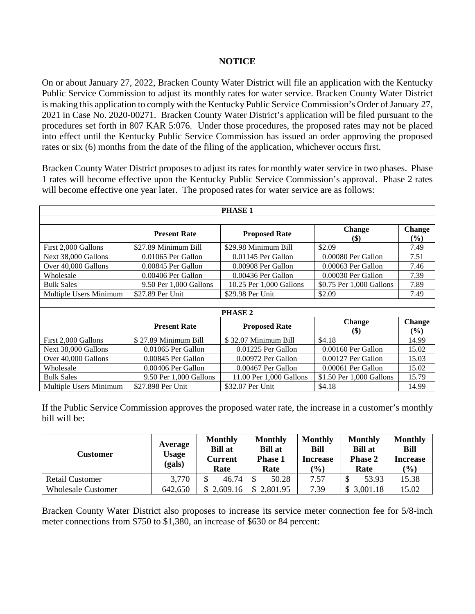## **NOTICE**

On or about January 27, 2022, Bracken County Water District will file an application with the Kentucky Public Service Commission to adjust its monthly rates for water service. Bracken County Water District is making this application to comply with the Kentucky Public Service Commission's Order of January 27, 2021 in Case No. 2020-00271. Bracken County Water District's application will be filed pursuant to the procedures set forth in 807 KAR 5:076. Under those procedures, the proposed rates may not be placed into effect until the Kentucky Public Service Commission has issued an order approving the proposed rates or six (6) months from the date of the filing of the application, whichever occurs first.

Bracken County Water District proposes to adjust its rates for monthly water service in two phases. Phase 1 rates will become effective upon the Kentucky Public Service Commission's approval. Phase 2 rates will become effective one year later. The proposed rates for water service are as follows:

| <b>PHASE 1</b>                                               |                         |                                |                              |                         |  |  |  |  |  |
|--------------------------------------------------------------|-------------------------|--------------------------------|------------------------------|-------------------------|--|--|--|--|--|
|                                                              | <b>Present Rate</b>     | <b>Proposed Rate</b>           | <b>Change</b><br><b>(\$)</b> | <b>Change</b><br>$(\%)$ |  |  |  |  |  |
| First 2,000 Gallons                                          | \$27.89 Minimum Bill    | \$29.98 Minimum Bill           | \$2.09                       | 7.49                    |  |  |  |  |  |
| Next 38,000 Gallons                                          | 0.01065 Per Gallon      | 0.01145 Per Gallon             | 0.00080 Per Gallon           | 7.51                    |  |  |  |  |  |
| Over 40,000 Gallons                                          | 0.00845 Per Gallon      | 0.00908 Per Gallon             | 0.00063 Per Gallon           | 7.46                    |  |  |  |  |  |
| Wholesale                                                    | 0.00406 Per Gallon      | 0.00436 Per Gallon             | 0.00030 Per Gallon           | 7.39                    |  |  |  |  |  |
| <b>Bulk Sales</b>                                            | 9.50 Per 1,000 Gallons  | 10.25 Per 1,000 Gallons        | \$0.75 Per 1,000 Gallons     | 7.89                    |  |  |  |  |  |
| Multiple Users Minimum                                       | \$27.89 Per Unit        | \$29.98 Per Unit               | \$2.09                       | 7.49                    |  |  |  |  |  |
|                                                              |                         |                                |                              |                         |  |  |  |  |  |
| <b>PHASE 2</b>                                               |                         |                                |                              |                         |  |  |  |  |  |
|                                                              | <b>Present Rate</b>     | <b>Proposed Rate</b>           | <b>Change</b><br><b>(\$)</b> | <b>Change</b><br>$($ %) |  |  |  |  |  |
| $\Gamma_{\text{out}}$ 0.000 $\Omega_{\text{in}}$ 11 $\ldots$ | $0.7700 M_{\odot}$ D:11 | $0.22.07 M_{\odot}$ is $11.01$ | 0.410                        | 1.4 OO                  |  |  |  |  |  |

|                        |                        |                         | ID.                      | $\gamma$ <sub>0</sub> ) |
|------------------------|------------------------|-------------------------|--------------------------|-------------------------|
| First 2,000 Gallons    | \$27.89 Minimum Bill   | \$32.07 Minimum Bill    | \$4.18                   | 14.99                   |
| Next 38,000 Gallons    | $0.01065$ Per Gallon   | $0.01225$ Per Gallon    | 0.00160 Per Gallon       | 15.02                   |
| Over 40,000 Gallons    | $0.00845$ Per Gallon   | $0.00972$ Per Gallon    | 0.00127 Per Gallon       | 15.03                   |
| Wholesale              | $0.00406$ Per Gallon   | $0.00467$ Per Gallon    | $0.00061$ Per Gallon     | 15.02                   |
| <b>Bulk Sales</b>      | 9.50 Per 1.000 Gallons | 11.00 Per 1.000 Gallons | \$1.50 Per 1.000 Gallons | 15.79                   |
| Multiple Users Minimum | \$27.898 Per Unit      | \$32.07 Per Unit        | \$4.18                   | 14.99                   |

If the Public Service Commission approves the proposed water rate, the increase in a customer's monthly bill will be:

| Customer                  | Average<br>Usage<br>(gals) | <b>Monthly</b><br><b>Bill</b> at<br><b>Current</b><br>Rate | <b>Monthly</b><br><b>Bill at</b><br><b>Phase 1</b><br>Rate | <b>Monthly</b><br>Bill<br><b>Increase</b><br>$(\%)$ | <b>Monthly</b><br><b>Bill</b> at<br><b>Phase 2</b><br>Rate | <b>Monthly</b><br><b>Bill</b><br><b>Increase</b><br>(%) |
|---------------------------|----------------------------|------------------------------------------------------------|------------------------------------------------------------|-----------------------------------------------------|------------------------------------------------------------|---------------------------------------------------------|
| <b>Retail Customer</b>    | 3,770                      | 46.74                                                      | 50.28                                                      | 7.57                                                | 53.93<br>κD                                                | 15.38                                                   |
| <b>Wholesale Customer</b> | 642,650                    | \$2,609.16                                                 | 2,801.95                                                   | 7.39                                                | 3,001.18                                                   | 15.02                                                   |

Bracken County Water District also proposes to increase its service meter connection fee for 5/8-inch meter connections from \$750 to \$1,380, an increase of \$630 or 84 percent: